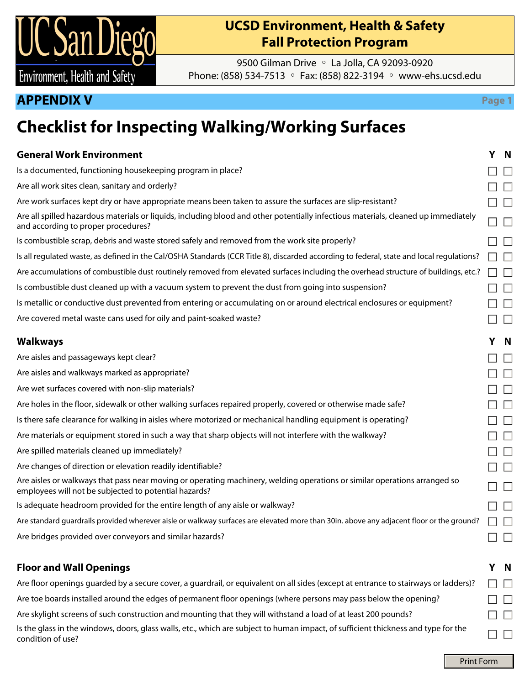

## **UCSD Environment, Health & Safety Fall Protection Program**

9500 Gilman Drive ◦ La Jolla, CA 92093-0920 Phone: (858) 534-7513 ◦ Fax: (858) 822-3194 ◦ www-ehs.ucsd.edu

### **APPENDIX V Page 1**

# **Checklist for Inspecting Walking/Working Surfaces**

| <b>General Work Environment</b>                                                                                                                                                    | Y N           |
|------------------------------------------------------------------------------------------------------------------------------------------------------------------------------------|---------------|
| Is a documented, functioning housekeeping program in place?                                                                                                                        |               |
| Are all work sites clean, sanitary and orderly?                                                                                                                                    |               |
| Are work surfaces kept dry or have appropriate means been taken to assure the surfaces are slip-resistant?                                                                         | $\Box$        |
| Are all spilled hazardous materials or liquids, including blood and other potentially infectious materials, cleaned up immediately<br>and according to proper procedures?          | $\Box$        |
| Is combustible scrap, debris and waste stored safely and removed from the work site properly?                                                                                      | □             |
| Is all regulated waste, as defined in the Cal/OSHA Standards (CCR Title 8), discarded according to federal, state and local regulations?                                           | $\Box$        |
| Are accumulations of combustible dust routinely removed from elevated surfaces including the overhead structure of buildings, etc.?                                                | $\Box$        |
| Is combustible dust cleaned up with a vacuum system to prevent the dust from going into suspension?                                                                                | $\Box$        |
| Is metallic or conductive dust prevented from entering or accumulating on or around electrical enclosures or equipment?                                                            |               |
| Are covered metal waste cans used for oily and paint-soaked waste?                                                                                                                 | Г             |
| <b>Walkways</b>                                                                                                                                                                    | Y N           |
| Are aisles and passageways kept clear?                                                                                                                                             | ⊏             |
| Are aisles and walkways marked as appropriate?                                                                                                                                     | $\Box$ $\Box$ |
| Are wet surfaces covered with non-slip materials?                                                                                                                                  | $\Box$        |
| Are holes in the floor, sidewalk or other walking surfaces repaired properly, covered or otherwise made safe?                                                                      | Е             |
| Is there safe clearance for walking in aisles where motorized or mechanical handling equipment is operating?                                                                       | Г             |
| Are materials or equipment stored in such a way that sharp objects will not interfere with the walkway?                                                                            | Ξ             |
| Are spilled materials cleaned up immediately?                                                                                                                                      | $\Box$        |
| Are changes of direction or elevation readily identifiable?                                                                                                                        | Г             |
|                                                                                                                                                                                    |               |
| Are aisles or walkways that pass near moving or operating machinery, welding operations or similar operations arranged so<br>employees will not be subjected to potential hazards? | Г             |
| Is adequate headroom provided for the entire length of any aisle or walkway?                                                                                                       | Г             |
| Are standard guardrails provided wherever aisle or walkway surfaces are elevated more than 30in. above any adjacent floor or the ground?                                           |               |
| Are bridges provided over conveyors and similar hazards?                                                                                                                           | L             |

#### **Floor and Wall Openings Y N**

Are floor openings guarded by a secure cover, a guardrail, or equivalent on all sides (except at entrance to stairways or ladders)? ПП Are toe boards installed around the edges of permanent floor openings (where persons may pass below the opening?  $\Box$   $\Box$ Are skylight screens of such construction and mounting that they will withstand a load of at least 200 pounds?  $\Box$   $\Box$ Is the glass in the windows, doors, glass walls, etc., which are subject to human impact, of sufficient thickness and type for the ПП condition of use?

Print Form